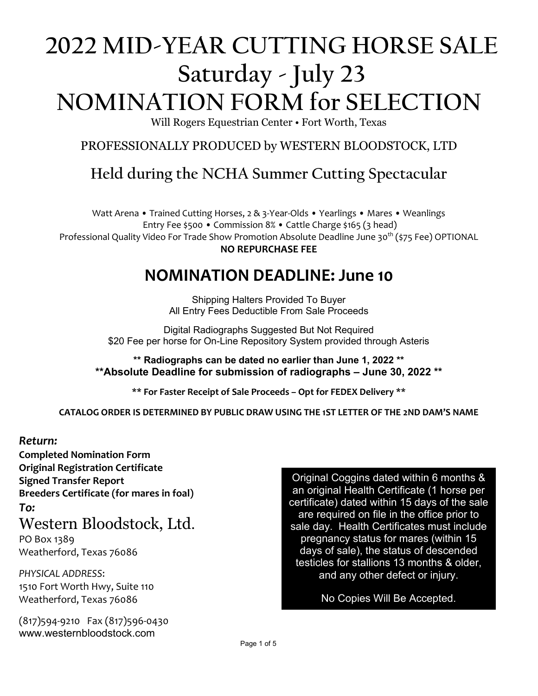# **2022 MID-YEAR CUTTING HORSE SALE Saturday - July 23 NOMINATION FORM for SELECTION**

Will Rogers Equestrian Center • Fort Worth, Texas

PROFESSIONALLY PRODUCED by WESTERN BLOODSTOCK, LTD

# **Held during the NCHA Summer Cutting Spectacular**

Watt Arena • Trained Cutting Horses, 2 & 3-Year-Olds • Yearlings • Mares • Weanlings Entry Fee \$500 • Commission 8% • Cattle Charge \$165 (3 head) Professional Quality Video For Trade Show Promotion Absolute Deadline June 30<sup>th</sup> (\$75 Fee) OPTIONAL **NO REPURCHASE FEE**

# **NOMINATION DEADLINE: June 10**

Shipping Halters Provided To Buyer All Entry Fees Deductible From Sale Proceeds

Digital Radiographs Suggested But Not Required \$20 Fee per horse for On-Line Repository System provided through Asteris

**\*\* Radiographs can be dated no earlier than June 1, 2022 \*\* \*\*Absolute Deadline for submission of radiographs – June 30, 2022 \*\***

**\*\* For Faster Receipt of Sale Proceeds – Opt for FEDEX Delivery \*\***

**CATALOG ORDER IS DETERMINED BY PUBLIC DRAW USING THE 1ST LETTER OF THE 2ND DAM'S NAME**

## *Return:*

**Completed Nomination Form Original Registration Certificate Signed Transfer Report Breeders Certificate (for mares in foal)** *To:*

# Western Bloodstock, Ltd.

PO Box 1389 Weatherford, Texas 76086

*PHYSICAL ADDRESS*: 1510 Fort Worth Hwy, Suite 110 Weatherford, Texas 76086

(817)594-9210 Fax (817)596-0430 www.westernbloodstock.com

Original Coggins dated within 6 months & an original Health Certificate (1 horse per certificate) dated within 15 days of the sale are required on file in the office prior to sale day. Health Certificates must include pregnancy status for mares (within 15 days of sale), the status of descended testicles for stallions 13 months & older, and any other defect or injury.

No Copies Will Be Accepted.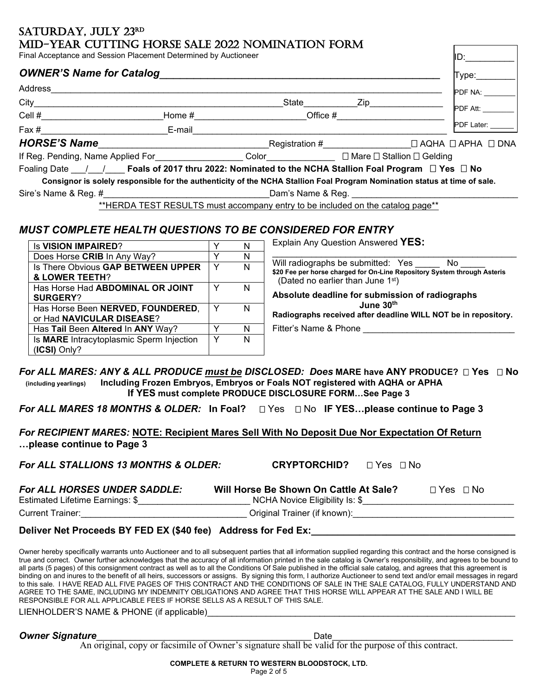## SATURDAY, JULY 23RD MID-YEAR CUTTING HORSE SALE 2022 NOMINATION FORM

| Final Acceptance and Session Placement Determined by Auctioneer                                                           |           |            | IID: I     |  |  |
|---------------------------------------------------------------------------------------------------------------------------|-----------|------------|------------|--|--|
| <b>OWNER'S Name for Catalog</b>                                                                                           |           |            | Type:      |  |  |
| Address                                                                                                                   |           |            | PDF NA:    |  |  |
|                                                                                                                           | State     |            | PDF Att:   |  |  |
| Cell $#$                                                                                                                  | Home $\#$ | Office $#$ |            |  |  |
| Fax # E-mail                                                                                                              |           |            | PDF Later: |  |  |
| HORSE'S Name                                                                                                              |           |            |            |  |  |
| If Reg. Pending, Name Applied For Color Color Data Document Delaing                                                       |           |            |            |  |  |
| Foaling Date $\quad$ / $\quad$ Foals of 2017 thru 2022: Nominated to the NCHA Stallion Foal Program $\Box$ Yes $\Box$ No  |           |            |            |  |  |
| Consignor is solely responsible for the authenticity of the NCHA Stallion Foal Program Nomination status at time of sale. |           |            |            |  |  |
| Sire's Name & Reg. # Dam's Name & Reg.                                                                                    |           |            |            |  |  |
| **HERDA TEST RESULTS must accompany entry to be included on the catalog page**                                            |           |            |            |  |  |

## *MUST COMPLETE HEALTH QUESTIONS TO BE CONSIDERED FOR ENTRY*

| <b>Is VISION IMPAIRED?</b>                                     |   | Explain Any Question Answered YES:                                                                                                                                                                           |
|----------------------------------------------------------------|---|--------------------------------------------------------------------------------------------------------------------------------------------------------------------------------------------------------------|
| Does Horse CRIB In Any Way?                                    | N |                                                                                                                                                                                                              |
| Is There Obvious GAP BETWEEN UPPER<br>& LOWER TEETH?           | N | Will radiographs be submitted: Yes<br>No.<br>\$20 Fee per horse charged for On-Line Repository System through Asteris<br>(Dated no earlier than June 1st)<br>Absolute deadline for submission of radiographs |
| Has Horse Had ABDOMINAL OR JOINT<br><b>SURGERY?</b>            | N |                                                                                                                                                                                                              |
| Has Horse Been NERVED, FOUNDERED,<br>or Had NAVICULAR DISEASE? | N | June 30 <sup>th</sup><br>Radiographs received after deadline WILL NOT be in repository.                                                                                                                      |
| Has Tail Been Altered In ANY Way?                              | N | Fitter's Name & Phone                                                                                                                                                                                        |
| Is MARE Intracytoplasmic Sperm Injection<br>(ICSI) Only?       | N |                                                                                                                                                                                                              |

### *For ALL MARES: ANY & ALL PRODUCE must be DISCLOSED: Does* **MARE have ANY PRODUCE? Yes No (including yearlings) Including Frozen Embryos, Embryos or Foals NOT registered with AQHA or APHA If YES must complete PRODUCE DISCLOSURE FORM…See Page 3**

**For ALL MARES 18 MONTHS & OLDER:** In Foal? □ Yes □ No IF YES...please continue to Page 3

*For RECIPIENT MARES:* **NOTE: Recipient Mares Sell With No Deposit Due Nor Expectation Of Return …please continue to Page 3**

**For ALL STALLIONS 13 MONTHS & OLDER:** CRYPTORCHID? □ Yes □ No

| <b>For ALL HORSES UNDER SADDLE:</b> | Will Horse Be Shown On Cattle At Sale? | $\sqcap$ Yes $\sqcap$ No |
|-------------------------------------|----------------------------------------|--------------------------|
| Estimated Lifetime Earnings: \$     | NCHA Novice Eligibility Is: \$         |                          |
| Current Trainer:                    | Original Trainer (if known):           |                          |

Deliver Net Proceeds BY FED EX (\$40 fee) Address for Fed Ex:

Owner hereby specifically warrants unto Auctioneer and to all subsequent parties that all information supplied regarding this contract and the horse consigned is true and correct. Owner further acknowledges that the accuracy of all information printed in the sale catalog is Owner's responsibility, and agrees to be bound to all parts (5 pages) of this consignment contract as well as to all the Conditions Of Sale published in the official sale catalog, and agrees that this agreement is binding on and inures to the benefit of all heirs, successors or assigns. By signing this form, I authorize Auctioneer to send text and/or email messages in regard to this sale. I HAVE READ ALL FIVE PAGES OF THIS CONTRACT AND THE CONDITIONS OF SALE IN THE SALE CATALOG, FULLY UNDERSTAND AND AGREE TO THE SAME, INCLUDING MY INDEMNITY OBLIGATIONS AND AGREE THAT THIS HORSE WILL APPEAR AT THE SALE AND I WILL BE RESPONSIBLE FOR ALL APPLICABLE FEES IF HORSE SELLS AS A RESULT OF THIS SALE.

LIENHOLDER'S NAME & PHONE (if applicable)

**Owner Signature** 

An original, copy or facsimile of Owner's signature shall be valid for the purpose of this contract.

#### **COMPLETE & RETURN TO WESTERN BLOODSTOCK, LTD.**

Page 2 of 5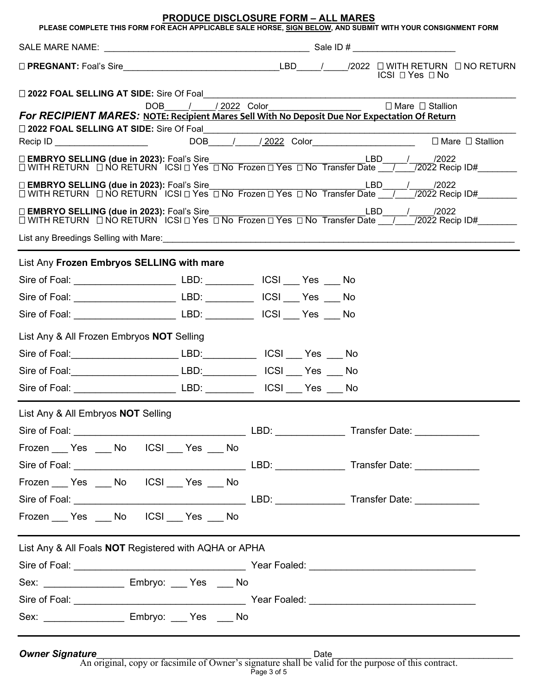|                                                                                                                        | <b>PRODUCE DISCLOSURE FORM - ALL MARES</b><br>PLEASE COMPLETE THIS FORM FOR EACH APPLICABLE SALE HORSE, SIGN BELOW, AND SUBMIT WITH YOUR CONSIGNMENT FORM     |  |  |
|------------------------------------------------------------------------------------------------------------------------|---------------------------------------------------------------------------------------------------------------------------------------------------------------|--|--|
|                                                                                                                        |                                                                                                                                                               |  |  |
|                                                                                                                        | ICSI □ Yes □ No                                                                                                                                               |  |  |
| □ 2022 FOAL SELLING AT SIDE: Sire Of Foal                                                                              |                                                                                                                                                               |  |  |
| For RECIPIENT MARES: NOTE: Recipient Mares Sell With No Deposit Due Nor Expectation Of Return                          | DOB / / 2022 Color DOB / / 2022 Color                                                                                                                         |  |  |
|                                                                                                                        | □ EMBRYO SELLING (due in 2023): Foal's Sire<br>□ WITH RETURN □ NO RETURN ICSI □ Yes □ No Frozen □ Yes □ No Transfer Date __/___/2022 Recip ID#________        |  |  |
|                                                                                                                        | □ EMBRYO SELLING (due in 2023): Foal's Sire<br>□ WITH RETURN □ NO RETURN ICSI □ Yes □ No Frozen □ Yes □ No Transfer Date ___/___/2022 Recip ID#________       |  |  |
|                                                                                                                        | □ <b>EMBRYO SELLING (due in 2023):</b> Foal's Sire<br>□ WITH RETURN □ NO RETURN ICSI □ Yes □ No Frozen □ Yes □ No Transfer Date __/___/2022 Recip ID#________ |  |  |
| List any Breedings Selling with Mare: <b>Construction Construction</b> Construction and Construction Construction Cons |                                                                                                                                                               |  |  |
| List Any Frozen Embryos SELLING with mare                                                                              |                                                                                                                                                               |  |  |
|                                                                                                                        |                                                                                                                                                               |  |  |
| Sire of Foal: ___________________________________LBD: __________________________ ICSI _____ Yes _____ No               |                                                                                                                                                               |  |  |
| Sire of Foal: ___________________________________LBD: __________________________ ICSI _____ Yes _____ No               |                                                                                                                                                               |  |  |
| List Any & All Frozen Embryos NOT Selling                                                                              |                                                                                                                                                               |  |  |
| Sire of Foal: ________________________________LBD: _______________ ICSI ____ Yes ____ No                               |                                                                                                                                                               |  |  |
|                                                                                                                        |                                                                                                                                                               |  |  |
| Sire of Foal: ___________________________________ LBD: ___________                                                     | ICSI __ Yes __ No                                                                                                                                             |  |  |
| List Any & All Embryos NOT Selling                                                                                     |                                                                                                                                                               |  |  |
|                                                                                                                        |                                                                                                                                                               |  |  |
|                                                                                                                        |                                                                                                                                                               |  |  |
|                                                                                                                        |                                                                                                                                                               |  |  |
| Frozen Pes No ICSI Yes No                                                                                              |                                                                                                                                                               |  |  |
|                                                                                                                        |                                                                                                                                                               |  |  |
|                                                                                                                        |                                                                                                                                                               |  |  |
| List Any & All Foals NOT Registered with AQHA or APHA                                                                  |                                                                                                                                                               |  |  |
|                                                                                                                        |                                                                                                                                                               |  |  |
| Sex: _____________________ Embryo: ____ Yes ____ No                                                                    |                                                                                                                                                               |  |  |
|                                                                                                                        |                                                                                                                                                               |  |  |
| Sex: ____________________ Embryo: ____ Yes ____ No                                                                     |                                                                                                                                                               |  |  |

*Owner Signature*\_\_\_\_\_\_\_\_\_\_\_\_\_\_\_\_\_\_\_\_\_\_\_\_\_\_\_\_\_\_\_\_\_\_\_\_\_\_\_\_\_\_\_\_ Date\_\_\_\_\_\_\_\_\_\_\_\_\_\_\_\_\_\_\_\_\_\_\_\_\_\_\_\_\_\_\_\_\_\_\_\_\_

An original, copy or facsimile of Owner's signature shall be valid for the purpose of this contract. Page 3 of 5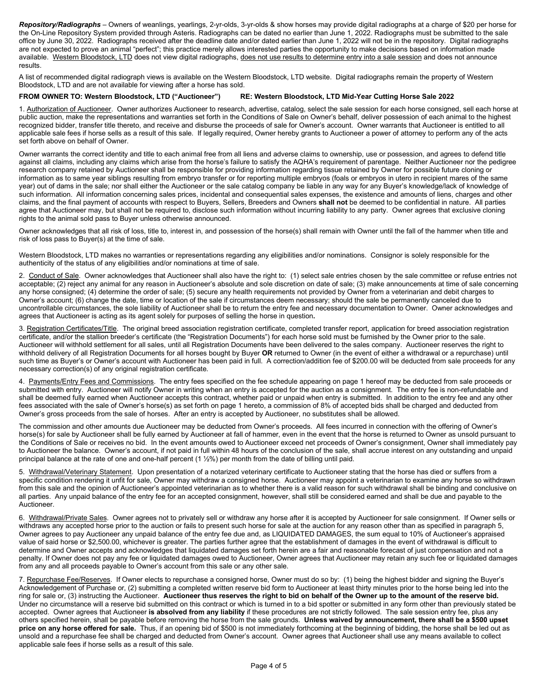*Repository/Radiographs* – Owners of weanlings, yearlings, 2-yr-olds, 3-yr-olds & show horses may provide digital radiographs at a charge of \$20 per horse for the On-Line Repository System provided through Asteris. Radiographs can be dated no earlier than June 1, 2022. Radiographs must be submitted to the sale office by June 30, 2022. Radiographs received after the deadline date and/or dated earlier than June 1, 2022 will not be in the repository. Digital radiographs are not expected to prove an animal "perfect"; this practice merely allows interested parties the opportunity to make decisions based on information made available. Western Bloodstock, LTD does not view digital radiographs, does not use results to determine entry into a sale session and does not announce results.

A list of recommended digital radiograph views is available on the Western Bloodstock, LTD website. Digital radiographs remain the property of Western Bloodstock, LTD and are not available for viewing after a horse has sold.

#### **FROM OWNER TO: Western Bloodstock, LTD ("Auctioneer") RE: Western Bloodstock, LTD Mid-Year Cutting Horse Sale 2022**

1. Authorization of Auctioneer. Owner authorizes Auctioneer to research, advertise, catalog, select the sale session for each horse consigned, sell each horse at public auction, make the representations and warranties set forth in the Conditions of Sale on Owner's behalf, deliver possession of each animal to the highest recognized bidder, transfer title thereto, and receive and disburse the proceeds of sale for Owner's account. Owner warrants that Auctioneer is entitled to all applicable sale fees if horse sells as a result of this sale. If legally required, Owner hereby grants to Auctioneer a power of attorney to perform any of the acts set forth above on behalf of Owner.

Owner warrants the correct identity and title to each animal free from all liens and adverse claims to ownership, use or possession, and agrees to defend title against all claims, including any claims which arise from the horse's failure to satisfy the AQHA's requirement of parentage. Neither Auctioneer nor the pedigree research company retained by Auctioneer shall be responsible for providing information regarding tissue retained by Owner for possible future cloning or information as to same year siblings resulting from embryo transfer or for reporting multiple embryos (foals or embryos in utero in recipient mares of the same year) out of dams in the sale; nor shall either the Auctioneer or the sale catalog company be liable in any way for any Buyer's knowledge/lack of knowledge of such information. All information concerning sales prices, incidental and consequential sales expenses, the existence and amounts of liens, charges and other claims, and the final payment of accounts with respect to Buyers, Sellers, Breeders and Owners **shall not** be deemed to be confidential in nature. All parties agree that Auctioneer may, but shall not be required to, disclose such information without incurring liability to any party. Owner agrees that exclusive cloning rights to the animal sold pass to Buyer unless otherwise announced.

Owner acknowledges that all risk of loss, title to, interest in, and possession of the horse(s) shall remain with Owner until the fall of the hammer when title and risk of loss pass to Buyer(s) at the time of sale.

Western Bloodstock, LTD makes no warranties or representations regarding any eligibilities and/or nominations. Consignor is solely responsible for the authenticity of the status of any eligibilities and/or nominations at time of sale.

2. Conduct of Sale. Owner acknowledges that Auctioneer shall also have the right to: (1) select sale entries chosen by the sale committee or refuse entries not acceptable; (2) reject any animal for any reason in Auctioneer's absolute and sole discretion on date of sale; (3) make announcements at time of sale concerning any horse consigned; (4) determine the order of sale; (5) secure any health requirements not provided by Owner from a veterinarian and debit charges to Owner's account; (6) change the date, time or location of the sale if circumstances deem necessary; should the sale be permanently canceled due to uncontrollable circumstances, the sole liability of Auctioneer shall be to return the entry fee and necessary documentation to Owner. Owner acknowledges and agrees that Auctioneer is acting as its agent solely for purposes of selling the horse in question**.**

3. Registration Certificates/Title. The original breed association registration certificate, completed transfer report, application for breed association registration certificate, and/or the stallion breeder's certificate (the "Registration Documents") for each horse sold must be furnished by the Owner prior to the sale. Auctioneer will withhold settlement for all sales, until all Registration Documents have been delivered to the sales company. Auctioneer reserves the right to withhold delivery of all Registration Documents for all horses bought by Buyer **OR** returned to Owner (in the event of either a withdrawal or a repurchase) until such time as Buyer's or Owner's account with Auctioneer has been paid in full. A correction/addition fee of \$200.00 will be deducted from sale proceeds for any necessary correction(s) of any original registration certificate.

4. Payments/Entry Fees and Commissions. The entry fees specified on the fee schedule appearing on page 1 hereof may be deducted from sale proceeds or submitted with entry. Auctioneer will notify Owner in writing when an entry is accepted for the auction as a consignment. The entry fee is non-refundable and shall be deemed fully earned when Auctioneer accepts this contract, whether paid or unpaid when entry is submitted. In addition to the entry fee and any other fees associated with the sale of Owner's horse(s) as set forth on page 1 hereto, a commission of 8% of accepted bids shall be charged and deducted from Owner's gross proceeds from the sale of horses. After an entry is accepted by Auctioneer, no substitutes shall be allowed.

The commission and other amounts due Auctioneer may be deducted from Owner's proceeds. All fees incurred in connection with the offering of Owner's horse(s) for sale by Auctioneer shall be fully earned by Auctioneer at fall of hammer, even in the event that the horse is returned to Owner as unsold pursuant to the Conditions of Sale or receives no bid. In the event amounts owed to Auctioneer exceed net proceeds of Owner's consignment, Owner shall immediately pay to Auctioneer the balance. Owner's account, if not paid in full within 48 hours of the conclusion of the sale, shall accrue interest on any outstanding and unpaid principal balance at the rate of one and one-half percent (1 1/2%) per month from the date of billing until paid.

5. Withdrawal/Veterinary Statement. Upon presentation of a notarized veterinary certificate to Auctioneer stating that the horse has died or suffers from a specific condition rendering it unfit for sale, Owner may withdraw a consigned horse. Auctioneer may appoint a veterinarian to examine any horse so withdrawn from this sale and the opinion of Auctioneer's appointed veterinarian as to whether there is a valid reason for such withdrawal shall be binding and conclusive on all parties. Any unpaid balance of the entry fee for an accepted consignment, however, shall still be considered earned and shall be due and payable to the Auctioneer.

6. Withdrawal/Private Sales. Owner agrees not to privately sell or withdraw any horse after it is accepted by Auctioneer for sale consignment. If Owner sells or withdraws any accepted horse prior to the auction or fails to present such horse for sale at the auction for any reason other than as specified in paragraph 5, Owner agrees to pay Auctioneer any unpaid balance of the entry fee due and, as LIQUIDATED DAMAGES, the sum equal to 10% of Auctioneer's appraised value of said horse or \$2,500.00, whichever is greater. The parties further agree that the establishment of damages in the event of withdrawal is difficult to determine and Owner accepts and acknowledges that liquidated damages set forth herein are a fair and reasonable forecast of just compensation and not a penalty. If Owner does not pay any fee or liquidated damages owed to Auctioneer, Owner agrees that Auctioneer may retain any such fee or liquidated damages from any and all proceeds payable to Owner's account from this sale or any other sale.

7. Repurchase Fee/Reserves. If Owner elects to repurchase a consigned horse, Owner must do so by: (1) being the highest bidder and signing the Buyer's Acknowledgement of Purchase or, (2) submitting a completed written reserve bid form to Auctioneer at least thirty minutes prior to the horse being led into the ring for sale or, (3) instructing the Auctioneer. **Auctioneer thus reserves the right to bid on behalf of the Owner up to the amount of the reserve bid.** Under no circumstance will a reserve bid submitted on this contract or which is turned in to a bid spotter or submitted in any form other than previously stated be accepted. Owner agrees that Auctioneer **is absolved from any liability** if these procedures are not strictly followed. The sale session entry fee, plus any others specified herein, shall be payable before removing the horse from the sale grounds. **Unless waived by announcement, there shall be a \$500 upset price on any horse offered for sale.** Thus, if an opening bid of \$500 is not immediately forthcoming at the beginning of bidding, the horse shall be led out as unsold and a repurchase fee shall be charged and deducted from Owner's account. Owner agrees that Auctioneer shall use any means available to collect applicable sale fees if horse sells as a result of this sale.